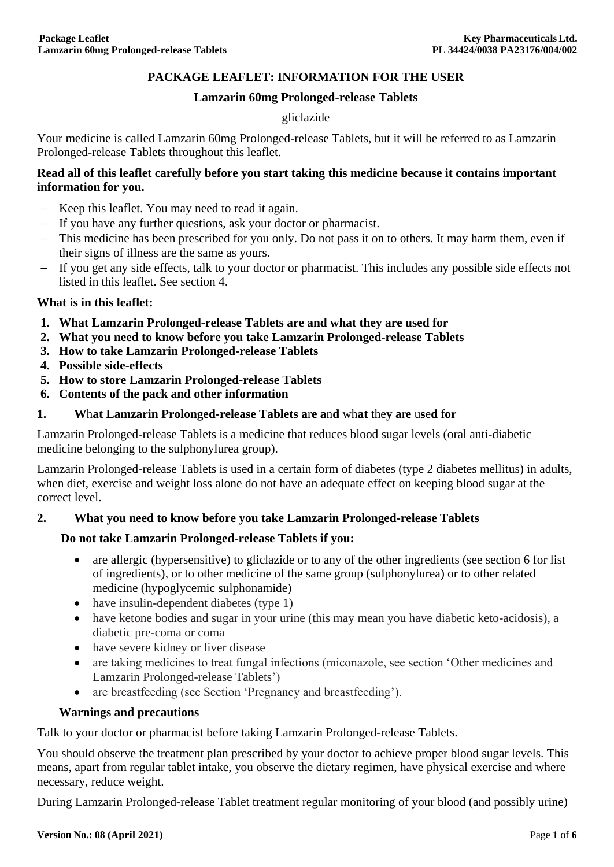### **PACKAGE LEAFLET: INFORMATION FOR THE USER**

#### **Lamzarin 60mg Prolonged-release Tablets**

#### gliclazide

Your medicine is called Lamzarin 60mg Prolonged-release Tablets, but it will be referred to as Lamzarin Prolonged-release Tablets throughout this leaflet.

### **Read all of this leaflet carefully before you start taking this medicine because it contains important information for you.**

- Keep this leaflet. You may need to read it again.
- If you have any further questions, ask your doctor or pharmacist.
- This medicine has been prescribed for you only. Do not pass it on to others. It may harm them, even if their signs of illness are the same as yours.
- If you get any side effects, talk to your doctor or pharmacist. This includes any possible side effects not listed in this leaflet. See section 4.

### **What is in this leaflet:**

- **1. What Lamzarin Prolonged-release Tablets are and what they are used for**
- **2. What you need to know before you take Lamzarin Prolonged-release Tablets**
- **3. How to take Lamzarin Prolonged-release Tablets**
- **4. Possible side-effects**
- **5. How to store Lamzarin Prolonged-release Tablets**
- **6. Contents of the pack and other information**
- **1. W**h**at Lamzarin Prolonged-release Tablets a**r**e a**n**d** wh**at** the**y a**r**e** u**s**e**d** f**or**

Lamzarin Prolonged-release Tablets is a medicine that reduces blood sugar levels (oral anti-diabetic medicine belonging to the sulphonylurea group).

Lamzarin Prolonged-release Tablets is used in a certain form of diabetes (type 2 diabetes mellitus) in adults, when diet, exercise and weight loss alone do not have an adequate effect on keeping blood sugar at the correct level.

### **2. What you need to know before you take Lamzarin Prolonged-release Tablets**

### **Do not take Lamzarin Prolonged-release Tablets if you:**

- are allergic (hypersensitive) to gliclazide or to any of the other ingredients (see section 6 for list of ingredients), or to other medicine of the same group (sulphonylurea) or to other related medicine (hypoglycemic sulphonamide)
- have insulin-dependent diabetes (type 1)
- have ketone bodies and sugar in your urine (this may mean you have diabetic keto-acidosis), a diabetic pre-coma or coma
- have severe kidney or liver disease
- are taking medicines to treat fungal infections (miconazole, see section 'Other medicines and Lamzarin Prolonged-release Tablets')
- are breastfeeding (see Section 'Pregnancy and breastfeeding').

### **Warnings and precautions**

Talk to your doctor or pharmacist before taking Lamzarin Prolonged-release Tablets.

You should observe the treatment plan prescribed by your doctor to achieve proper blood sugar levels. This means, apart from regular tablet intake, you observe the dietary regimen, have physical exercise and where necessary, reduce weight.

During Lamzarin Prolonged-release Tablet treatment regular monitoring of your blood (and possibly urine)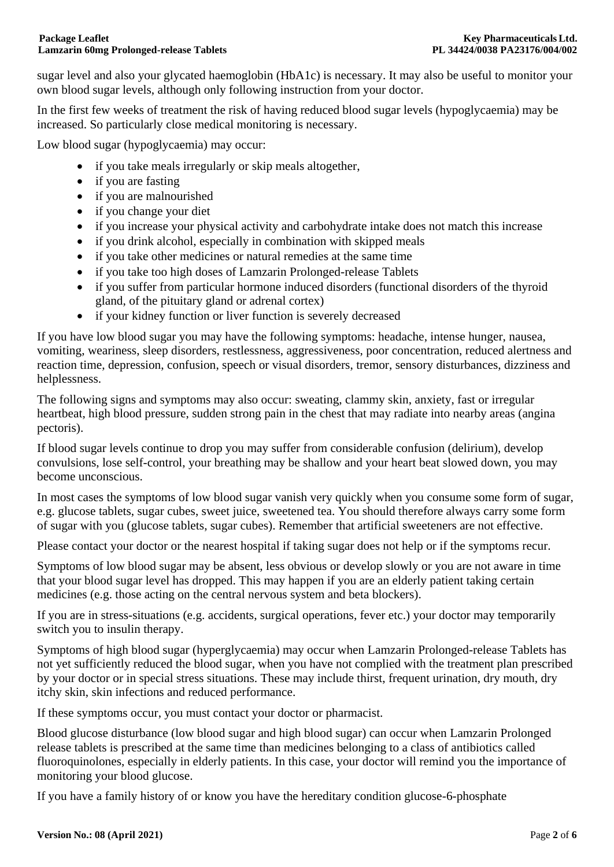sugar level and also your glycated haemoglobin (HbA1c) is necessary. It may also be useful to monitor your own blood sugar levels, although only following instruction from your doctor.

In the first few weeks of treatment the risk of having reduced blood sugar levels (hypoglycaemia) may be increased. So particularly close medical monitoring is necessary.

Low blood sugar (hypoglycaemia) may occur:

- if you take meals irregularly or skip meals altogether,
- if you are fasting
- if you are malnourished
- if you change your diet
- if you increase your physical activity and carbohydrate intake does not match this increase
- if you drink alcohol, especially in combination with skipped meals
- if you take other medicines or natural remedies at the same time
- if you take too high doses of Lamzarin Prolonged-release Tablets
- if you suffer from particular hormone induced disorders (functional disorders of the thyroid gland, of the pituitary gland or adrenal cortex)
- if your kidney function or liver function is severely decreased

If you have low blood sugar you may have the following symptoms: headache, intense hunger, nausea, vomiting, weariness, sleep disorders, restlessness, aggressiveness, poor concentration, reduced alertness and reaction time, depression, confusion, speech or visual disorders, tremor, sensory disturbances, dizziness and helplessness.

The following signs and symptoms may also occur: sweating, clammy skin, anxiety, fast or irregular heartbeat, high blood pressure, sudden strong pain in the chest that may radiate into nearby areas (angina pectoris).

If blood sugar levels continue to drop you may suffer from considerable confusion (delirium), develop convulsions, lose self-control, your breathing may be shallow and your heart beat slowed down, you may become unconscious.

In most cases the symptoms of low blood sugar vanish very quickly when you consume some form of sugar, e.g. glucose tablets, sugar cubes, sweet juice, sweetened tea. You should therefore always carry some form of sugar with you (glucose tablets, sugar cubes). Remember that artificial sweeteners are not effective.

Please contact your doctor or the nearest hospital if taking sugar does not help or if the symptoms recur.

Symptoms of low blood sugar may be absent, less obvious or develop slowly or you are not aware in time that your blood sugar level has dropped. This may happen if you are an elderly patient taking certain medicines (e.g. those acting on the central nervous system and beta blockers).

If you are in stress-situations (e.g. accidents, surgical operations, fever etc.) your doctor may temporarily switch you to insulin therapy.

Symptoms of high blood sugar (hyperglycaemia) may occur when Lamzarin Prolonged-release Tablets has not yet sufficiently reduced the blood sugar, when you have not complied with the treatment plan prescribed by your doctor or in special stress situations. These may include thirst, frequent urination, dry mouth, dry itchy skin, skin infections and reduced performance.

If these symptoms occur, you must contact your doctor or pharmacist.

Blood glucose disturbance (low blood sugar and high blood sugar) can occur when Lamzarin Prolonged release tablets is prescribed at the same time than medicines belonging to a class of antibiotics called fluoroquinolones, especially in elderly patients. In this case, your doctor will remind you the importance of monitoring your blood glucose.

If you have a family history of or know you have the hereditary condition glucose-6-phosphate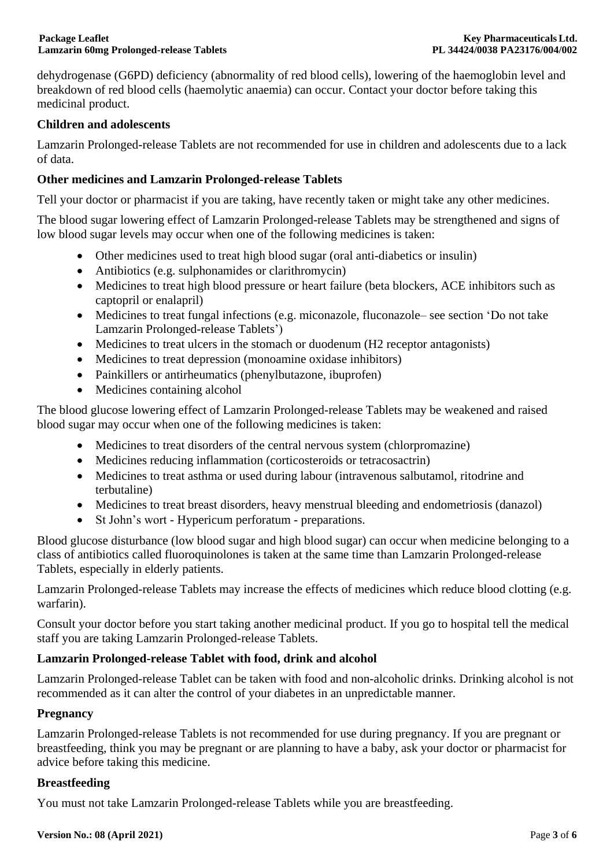dehydrogenase (G6PD) deficiency (abnormality of red blood cells), lowering of the haemoglobin level and breakdown of red blood cells (haemolytic anaemia) can occur. Contact your doctor before taking this medicinal product.

### **Children and adolescents**

Lamzarin Prolonged-release Tablets are not recommended for use in children and adolescents due to a lack of data.

# **Other medicines and Lamzarin Prolonged-release Tablets**

Tell your doctor or pharmacist if you are taking, have recently taken or might take any other medicines.

The blood sugar lowering effect of Lamzarin Prolonged-release Tablets may be strengthened and signs of low blood sugar levels may occur when one of the following medicines is taken:

- Other medicines used to treat high blood sugar (oral anti-diabetics or insulin)
- Antibiotics (e.g. sulphonamides or clarithromycin)
- Medicines to treat high blood pressure or heart failure (beta blockers, ACE inhibitors such as captopril or enalapril)
- Medicines to treat fungal infections (e.g. miconazole, fluconazole– see section 'Do not take Lamzarin Prolonged-release Tablets')
- Medicines to treat ulcers in the stomach or duodenum (H2 receptor antagonists)
- Medicines to treat depression (monoamine oxidase inhibitors)
- Painkillers or antirheumatics (phenylbutazone, ibuprofen)
- Medicines containing alcohol

The blood glucose lowering effect of Lamzarin Prolonged-release Tablets may be weakened and raised blood sugar may occur when one of the following medicines is taken:

- Medicines to treat disorders of the central nervous system (chlorpromazine)
- Medicines reducing inflammation (corticosteroids or tetracosactrin)
- Medicines to treat asthma or used during labour (intravenous salbutamol, ritodrine and terbutaline)
- Medicines to treat breast disorders, heavy menstrual bleeding and endometriosis (danazol)
- St John's wort Hypericum perforatum preparations.

Blood glucose disturbance (low blood sugar and high blood sugar) can occur when medicine belonging to a class of antibiotics called fluoroquinolones is taken at the same time than Lamzarin Prolonged-release Tablets, especially in elderly patients.

Lamzarin Prolonged-release Tablets may increase the effects of medicines which reduce blood clotting (e.g. warfarin).

Consult your doctor before you start taking another medicinal product. If you go to hospital tell the medical staff you are taking Lamzarin Prolonged-release Tablets.

# **Lamzarin Prolonged-release Tablet with food, drink and alcohol**

Lamzarin Prolonged-release Tablet can be taken with food and non-alcoholic drinks. Drinking alcohol is not recommended as it can alter the control of your diabetes in an unpredictable manner.

### **Pregnancy**

Lamzarin Prolonged-release Tablets is not recommended for use during pregnancy. If you are pregnant or breastfeeding, think you may be pregnant or are planning to have a baby, ask your doctor or pharmacist for advice before taking this medicine.

### **Breastfeeding**

You must not take Lamzarin Prolonged-release Tablets while you are breastfeeding.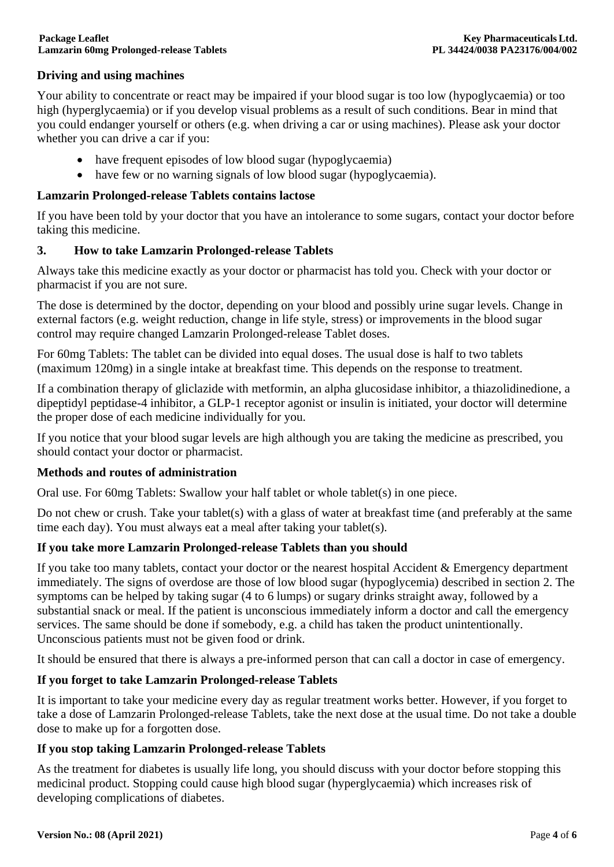# **Driving and using machines**

Your ability to concentrate or react may be impaired if your blood sugar is too low (hypoglycaemia) or too high (hyperglycaemia) or if you develop visual problems as a result of such conditions. Bear in mind that you could endanger yourself or others (e.g. when driving a car or using machines). Please ask your doctor whether you can drive a car if you:

- have frequent episodes of low blood sugar (hypoglycaemia)
- have few or no warning signals of low blood sugar (hypoglycaemia).

### **Lamzarin Prolonged-release Tablets contains lactose**

If you have been told by your doctor that you have an intolerance to some sugars, contact your doctor before taking this medicine.

# **3. How to take Lamzarin Prolonged-release Tablets**

Always take this medicine exactly as your doctor or pharmacist has told you. Check with your doctor or pharmacist if you are not sure.

The dose is determined by the doctor, depending on your blood and possibly urine sugar levels. Change in external factors (e.g. weight reduction, change in life style, stress) or improvements in the blood sugar control may require changed Lamzarin Prolonged-release Tablet doses.

For 60mg Tablets: The tablet can be divided into equal doses. The usual dose is half to two tablets (maximum 120mg) in a single intake at breakfast time. This depends on the response to treatment.

If a combination therapy of gliclazide with metformin, an alpha glucosidase inhibitor, a thiazolidinedione, a dipeptidyl peptidase-4 inhibitor, a GLP-1 receptor agonist or insulin is initiated, your doctor will determine the proper dose of each medicine individually for you.

If you notice that your blood sugar levels are high although you are taking the medicine as prescribed, you should contact your doctor or pharmacist.

### **Methods and routes of administration**

Oral use. For 60mg Tablets: Swallow your half tablet or whole tablet(s) in one piece.

Do not chew or crush. Take your tablet(s) with a glass of water at breakfast time (and preferably at the same time each day). You must always eat a meal after taking your tablet(s).

### **If you take more Lamzarin Prolonged-release Tablets than you should**

If you take too many tablets, contact your doctor or the nearest hospital Accident & Emergency department immediately. The signs of overdose are those of low blood sugar (hypoglycemia) described in section 2. The symptoms can be helped by taking sugar (4 to 6 lumps) or sugary drinks straight away, followed by a substantial snack or meal. If the patient is unconscious immediately inform a doctor and call the emergency services. The same should be done if somebody, e.g. a child has taken the product unintentionally. Unconscious patients must not be given food or drink.

It should be ensured that there is always a pre-informed person that can call a doctor in case of emergency.

# **If you forget to take Lamzarin Prolonged-release Tablets**

It is important to take your medicine every day as regular treatment works better. However, if you forget to take a dose of Lamzarin Prolonged-release Tablets, take the next dose at the usual time. Do not take a double dose to make up for a forgotten dose.

# **If you stop taking Lamzarin Prolonged-release Tablets**

As the treatment for diabetes is usually life long, you should discuss with your doctor before stopping this medicinal product. Stopping could cause high blood sugar (hyperglycaemia) which increases risk of developing complications of diabetes.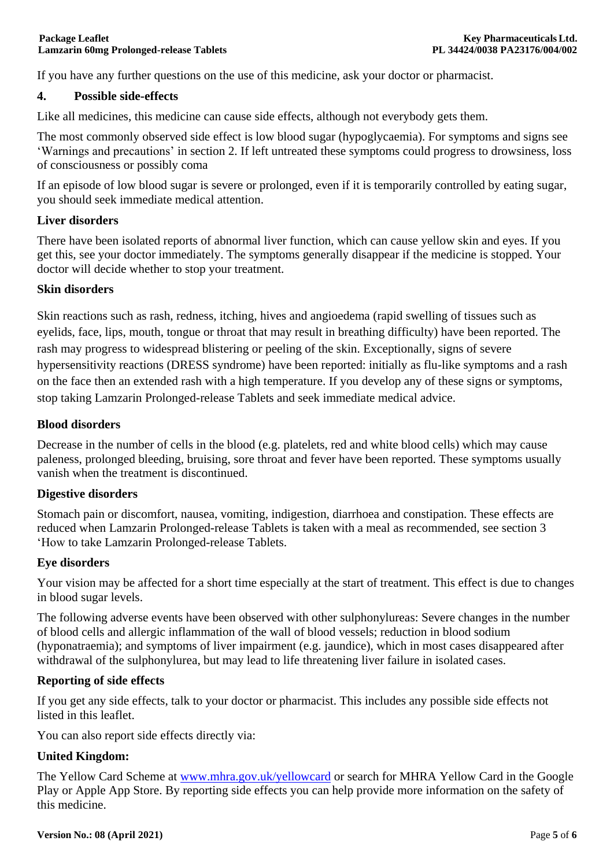If you have any further questions on the use of this medicine, ask your doctor or pharmacist.

### **4. Possible side-effects**

Like all medicines, this medicine can cause side effects, although not everybody gets them.

The most commonly observed side effect is low blood sugar (hypoglycaemia). For symptoms and signs see 'Warnings and precautions' in section 2. If left untreated these symptoms could progress to drowsiness, loss of consciousness or possibly coma

If an episode of low blood sugar is severe or prolonged, even if it is temporarily controlled by eating sugar, you should seek immediate medical attention.

### **Liver disorders**

There have been isolated reports of abnormal liver function, which can cause yellow skin and eyes. If you get this, see your doctor immediately. The symptoms generally disappear if the medicine is stopped. Your doctor will decide whether to stop your treatment.

### **Skin disorders**

Skin reactions such as rash, redness, itching, hives and angioedema (rapid swelling of tissues such as eyelids, face, lips, mouth, tongue or throat that may result in breathing difficulty) have been reported. The rash may progress to widespread blistering or peeling of the skin. Exceptionally, signs of severe hypersensitivity reactions (DRESS syndrome) have been reported: initially as flu-like symptoms and a rash on the face then an extended rash with a high temperature. If you develop any of these signs or symptoms, stop taking Lamzarin Prolonged-release Tablets and seek immediate medical advice.

### **Blood disorders**

Decrease in the number of cells in the blood (e.g. platelets, red and white blood cells) which may cause paleness, prolonged bleeding, bruising, sore throat and fever have been reported. These symptoms usually vanish when the treatment is discontinued.

### **Digestive disorders**

Stomach pain or discomfort, nausea, vomiting, indigestion, diarrhoea and constipation. These effects are reduced when Lamzarin Prolonged-release Tablets is taken with a meal as recommended, see section 3 'How to take Lamzarin Prolonged-release Tablets.

### **Eye disorders**

Your vision may be affected for a short time especially at the start of treatment. This effect is due to changes in blood sugar levels.

The following adverse events have been observed with other sulphonylureas: Severe changes in the number of blood cells and allergic inflammation of the wall of blood vessels; reduction in blood sodium (hyponatraemia); and symptoms of liver impairment (e.g. jaundice), which in most cases disappeared after withdrawal of the sulphonylurea, but may lead to life threatening liver failure in isolated cases.

### **Reporting of side effects**

If you get any side effects, talk to your doctor or pharmacist. This includes any possible side effects not listed in this leaflet.

You can also report side effects directly via:

# **United Kingdom:**

The Yellow Card Scheme at [www.mhra.gov.uk/yellowcard](http://www.mhra.gov.uk/yellowcard) or search for MHRA Yellow Card in the Google Play or Apple App Store. By reporting side effects you can help provide more information on the safety of this medicine.